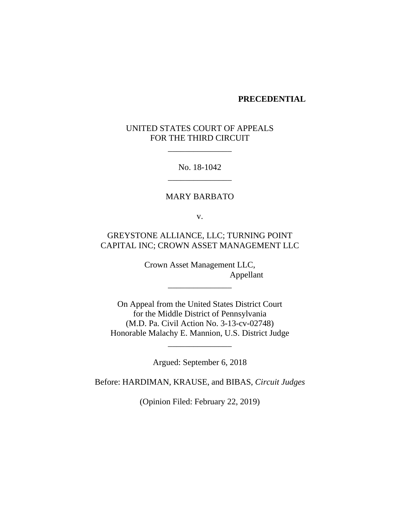#### **PRECEDENTIAL**

## UNITED STATES COURT OF APPEALS FOR THE THIRD CIRCUIT

\_\_\_\_\_\_\_\_\_\_\_\_\_\_\_

No. 18-1042 \_\_\_\_\_\_\_\_\_\_\_\_\_\_\_

## MARY BARBATO

v.

# GREYSTONE ALLIANCE, LLC; TURNING POINT CAPITAL INC; CROWN ASSET MANAGEMENT LLC

Crown Asset Management LLC, Appellant

\_\_\_\_\_\_\_\_\_\_\_\_\_\_\_

On Appeal from the United States District Court for the Middle District of Pennsylvania (M.D. Pa. Civil Action No. 3-13-cv-02748) Honorable Malachy E. Mannion, U.S. District Judge

Argued: September 6, 2018

\_\_\_\_\_\_\_\_\_\_\_\_\_\_\_

Before: HARDIMAN, KRAUSE, and BIBAS, *Circuit Judges*

(Opinion Filed: February 22, 2019)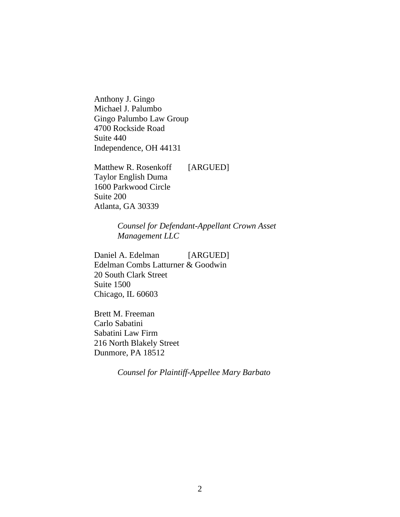Anthony J. Gingo Michael J. Palumbo Gingo Palumbo Law Group 4700 Rockside Road Suite 440 Independence, OH 44131

Matthew R. Rosenkoff [ARGUED] Taylor English Duma 1600 Parkwood Circle Suite 200 Atlanta, GA 30339

> *Counsel for Defendant-Appellant Crown Asset Management LLC*

Daniel A. Edelman [ARGUED] Edelman Combs Latturner & Goodwin 20 South Clark Street Suite 1500 Chicago, IL 60603

Brett M. Freeman Carlo Sabatini Sabatini Law Firm 216 North Blakely Street Dunmore, PA 18512

*Counsel for Plaintiff-Appellee Mary Barbato*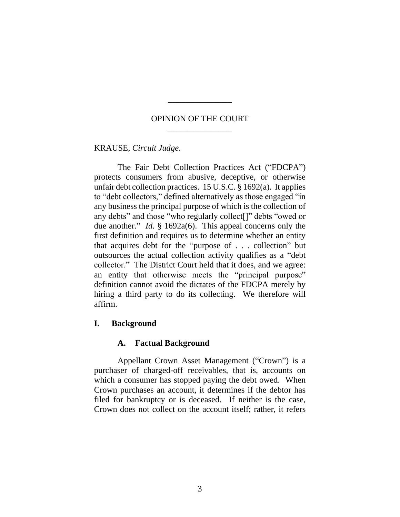## OPINION OF THE COURT \_\_\_\_\_\_\_\_\_\_\_\_\_\_\_

\_\_\_\_\_\_\_\_\_\_\_\_\_\_\_

KRAUSE, *Circuit Judge*.

The Fair Debt Collection Practices Act ("FDCPA") protects consumers from abusive, deceptive, or otherwise unfair debt collection practices. 15 U.S.C. § 1692(a). It applies to "debt collectors," defined alternatively as those engaged "in any business the principal purpose of which is the collection of any debts" and those "who regularly collect[]" debts "owed or due another." *Id.* § 1692a(6). This appeal concerns only the first definition and requires us to determine whether an entity that acquires debt for the "purpose of . . . collection" but outsources the actual collection activity qualifies as a "debt collector." The District Court held that it does, and we agree: an entity that otherwise meets the "principal purpose" definition cannot avoid the dictates of the FDCPA merely by hiring a third party to do its collecting. We therefore will affirm.

## **I. Background**

## **A. Factual Background**

Appellant Crown Asset Management ("Crown") is a purchaser of charged-off receivables, that is, accounts on which a consumer has stopped paying the debt owed.When Crown purchases an account, it determines if the debtor has filed for bankruptcy or is deceased.If neither is the case, Crown does not collect on the account itself; rather, it refers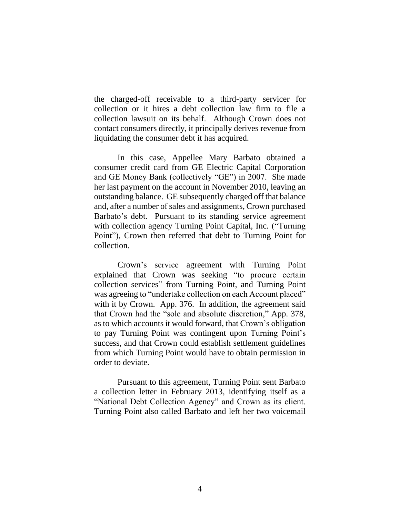the charged-off receivable to a third-party servicer for collection or it hires a debt collection law firm to file a collection lawsuit on its behalf. Although Crown does not contact consumers directly, it principally derives revenue from liquidating the consumer debt it has acquired.

In this case, Appellee Mary Barbato obtained a consumer credit card from GE Electric Capital Corporation and GE Money Bank (collectively "GE") in 2007.She made her last payment on the account in November 2010, leaving an outstanding balance.GE subsequently charged off that balance and, after a number of sales and assignments, Crown purchased Barbato's debt.Pursuant to its standing service agreement with collection agency Turning Point Capital, Inc. ("Turning Point"), Crown then referred that debt to Turning Point for collection.

Crown's service agreement with Turning Point explained that Crown was seeking "to procure certain collection services" from Turning Point, and Turning Point was agreeing to "undertake collection on each Account placed" with it by Crown. App. 376.In addition, the agreement said that Crown had the "sole and absolute discretion," App. 378, as to which accounts it would forward, that Crown's obligation to pay Turning Point was contingent upon Turning Point's success, and that Crown could establish settlement guidelines from which Turning Point would have to obtain permission in order to deviate.

Pursuant to this agreement, Turning Point sent Barbato a collection letter in February 2013, identifying itself as a "National Debt Collection Agency" and Crown as its client. Turning Point also called Barbato and left her two voicemail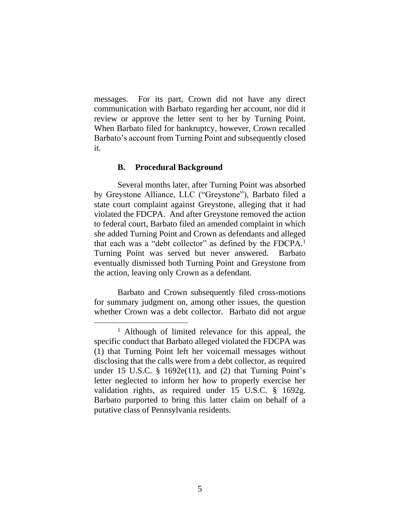messages. For its part, Crown did not have any direct communication with Barbato regarding her account, nor did it review or approve the letter sent to her by Turning Point. When Barbato filed for bankruptcy, however, Crown recalled Barbato's account from Turning Point and subsequently closed it.

#### **B. Procedural Background**

 $\overline{a}$ 

Several months later, after Turning Point was absorbed by Greystone Alliance, LLC ("Greystone"), Barbato filed a state court complaint against Greystone, alleging that it had violated the FDCPA.And after Greystone removed the action to federal court, Barbato filed an amended complaint in which she added Turning Point and Crown as defendants and alleged that each was a "debt collector" as defined by the FDCPA.<sup>1</sup> Turning Point was served but never answered.Barbato eventually dismissed both Turning Point and Greystone from the action, leaving only Crown as a defendant.

Barbato and Crown subsequently filed cross-motions for summary judgment on, among other issues, the question whether Crown was a debt collector.Barbato did not argue

<sup>&</sup>lt;sup>1</sup> Although of limited relevance for this appeal, the specific conduct that Barbato alleged violated the FDCPA was (1) that Turning Point left her voicemail messages without disclosing that the calls were from a debt collector, as required under 15 U.S.C.  $\S$  1692e(11), and (2) that Turning Point's letter neglected to inform her how to properly exercise her validation rights, as required under 15 U.S.C. § 1692g. Barbato purported to bring this latter claim on behalf of a putative class of Pennsylvania residents.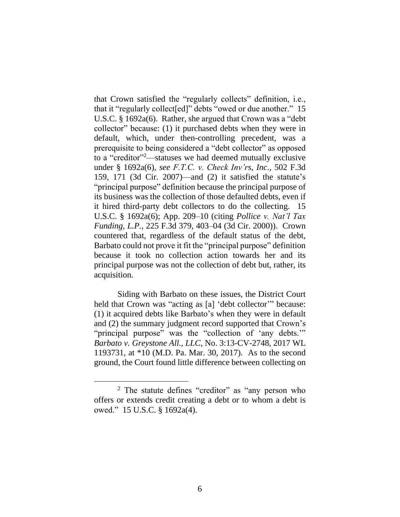that Crown satisfied the "regularly collects" definition, i.e., that it "regularly collect[ed]" debts "owed or due another." 15 U.S.C. § 1692a(6). Rather, she argued that Crown was a "debt collector" because: (1) it purchased debts when they were in default, which, under then-controlling precedent, was a prerequisite to being considered a "debt collector" as opposed to a "creditor"<sup>2</sup>—statuses we had deemed mutually exclusive under § 1692a(6), *see F.T.C. v. Check Inv'rs, Inc*., 502 F.3d 159, 171 (3d Cir. 2007)—and (2) it satisfied the statute's "principal purpose" definition because the principal purpose of its business was the collection of those defaulted debts, even if it hired third-party debt collectors to do the collecting. 15 U.S.C. § 1692a(6); App. 209–10 (citing *Pollice v. Nat'l Tax Funding, L.P.*, 225 F.3d 379, 403–04 (3d Cir. 2000)). Crown countered that, regardless of the default status of the debt, Barbato could not prove it fit the "principal purpose" definition because it took no collection action towards her and its principal purpose was not the collection of debt but, rather, its acquisition.

Siding with Barbato on these issues, the District Court held that Crown was "acting as [a] 'debt collector'" because: (1) it acquired debts like Barbato's when they were in default and (2) the summary judgment record supported that Crown's "principal purpose" was the "collection of 'any debts.'" *Barbato v. Greystone All., LLC*, No. 3:13-CV-2748, 2017 WL 1193731, at \*10 (M.D. Pa. Mar. 30, 2017).As to the second ground, the Court found little difference between collecting on

 $\overline{a}$ 

<sup>2</sup> The statute defines "creditor" as "any person who offers or extends credit creating a debt or to whom a debt is owed." 15 U.S.C. § 1692a(4).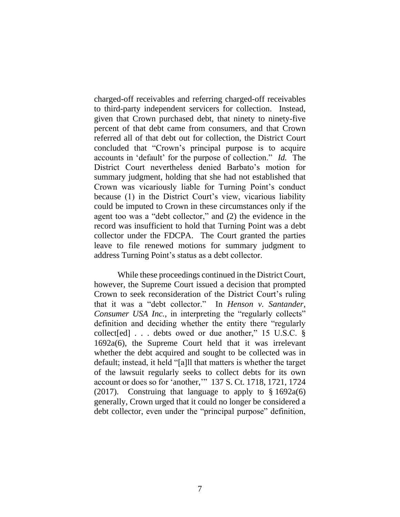charged-off receivables and referring charged-off receivables to third-party independent servicers for collection. Instead, given that Crown purchased debt, that ninety to ninety-five percent of that debt came from consumers, and that Crown referred all of that debt out for collection, the District Court concluded that "Crown's principal purpose is to acquire accounts in 'default' for the purpose of collection." *Id.* The District Court nevertheless denied Barbato's motion for summary judgment, holding that she had not established that Crown was vicariously liable for Turning Point's conduct because (1) in the District Court's view, vicarious liability could be imputed to Crown in these circumstances only if the agent too was a "debt collector," and (2) the evidence in the record was insufficient to hold that Turning Point was a debt collector under the FDCPA.The Court granted the parties leave to file renewed motions for summary judgment to address Turning Point's status as a debt collector.

While these proceedings continued in the District Court, however, the Supreme Court issued a decision that prompted Crown to seek reconsideration of the District Court's ruling that it was a "debt collector."In *Henson v. Santander, Consumer USA Inc.*, in interpreting the "regularly collects" definition and deciding whether the entity there "regularly collect[ed] . . . debts owed or due another," 15 U.S.C. § 1692a(6), the Supreme Court held that it was irrelevant whether the debt acquired and sought to be collected was in default; instead, it held "[a]ll that matters is whether the target of the lawsuit regularly seeks to collect debts for its own account or does so for 'another,'" 137 S. Ct. 1718, 1721, 1724 (2017). Construing that language to apply to  $\S 1692a(6)$ generally, Crown urged that it could no longer be considered a debt collector, even under the "principal purpose" definition,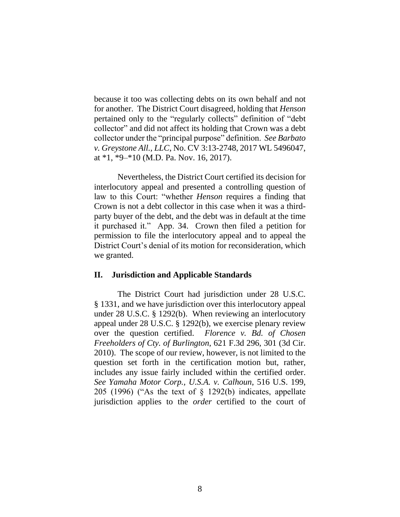because it too was collecting debts on its own behalf and not for another. The District Court disagreed, holding that *Henson*  pertained only to the "regularly collects" definition of "debt collector" and did not affect its holding that Crown was a debt collector under the "principal purpose" definition. *See Barbato v. Greystone All., LLC*, No. CV 3:13-2748, 2017 WL 5496047, at \*1, \*9–\*10 (M.D. Pa. Nov. 16, 2017).

Nevertheless, the District Court certified its decision for interlocutory appeal and presented a controlling question of law to this Court: "whether *Henson* requires a finding that Crown is not a debt collector in this case when it was a thirdparty buyer of the debt, and the debt was in default at the time it purchased it." App. 34. Crown then filed a petition for permission to file the interlocutory appeal and to appeal the District Court's denial of its motion for reconsideration, which we granted.

#### **II. Jurisdiction and Applicable Standards**

The District Court had jurisdiction under 28 U.S.C. § 1331, and we have jurisdiction over this interlocutory appeal under 28 U.S.C. § 1292(b). When reviewing an interlocutory appeal under 28 U.S.C. § 1292(b), we exercise plenary review over the question certified. *Florence v. Bd. of Chosen Freeholders of Cty. of Burlington*, 621 F.3d 296, 301 (3d Cir. 2010). The scope of our review, however, is not limited to the question set forth in the certification motion but, rather, includes any issue fairly included within the certified order. *See Yamaha Motor Corp., U.S.A. v. Calhoun*, 516 U.S. 199, 205 (1996) ("As the text of § 1292(b) indicates, appellate jurisdiction applies to the *order* certified to the court of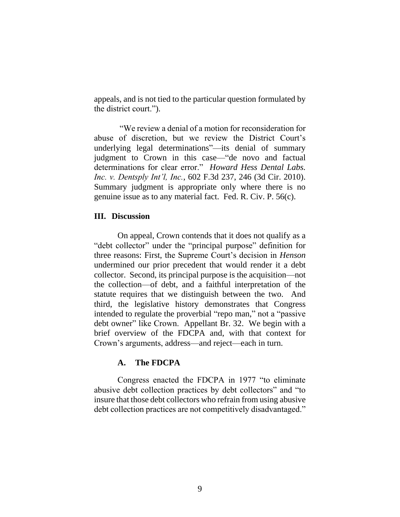appeals, and is not tied to the particular question formulated by the district court.").

"We review a denial of a motion for reconsideration for abuse of discretion, but we review the District Court's underlying legal determinations"—its denial of summary judgment to Crown in this case—"de novo and factual determinations for clear error." *Howard Hess Dental Labs. Inc. v. Dentsply Int'l, Inc.*, 602 F.3d 237, 246 (3d Cir. 2010). Summary judgment is appropriate only where there is no genuine issue as to any material fact. Fed. R. Civ. P. 56(c).

### **III. Discussion**

On appeal, Crown contends that it does not qualify as a "debt collector" under the "principal purpose" definition for three reasons: First, the Supreme Court's decision in *Henson*  undermined our prior precedent that would render it a debt collector. Second, its principal purpose is the acquisition—not the collection—of debt, and a faithful interpretation of the statute requires that we distinguish between the two. And third, the legislative history demonstrates that Congress intended to regulate the proverbial "repo man," not a "passive debt owner" like Crown. Appellant Br. 32.We begin with a brief overview of the FDCPA and, with that context for Crown's arguments, address—and reject—each in turn.

## **A. The FDCPA**

Congress enacted the FDCPA in 1977 "to eliminate abusive debt collection practices by debt collectors" and "to insure that those debt collectors who refrain from using abusive debt collection practices are not competitively disadvantaged."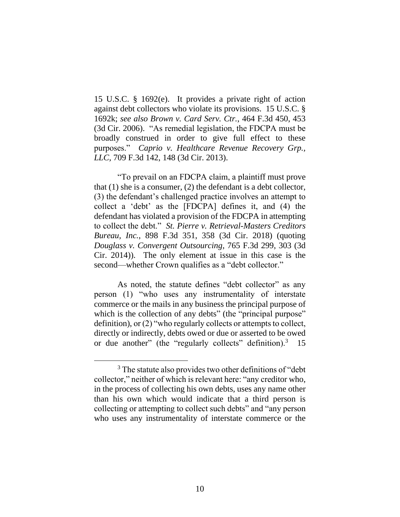15 U.S.C. § 1692(e). It provides a private right of action against debt collectors who violate its provisions. 15 U.S.C. § 1692k; *see also Brown v. Card Serv. Ctr.*, 464 F.3d 450, 453 (3d Cir. 2006). "As remedial legislation, the FDCPA must be broadly construed in order to give full effect to these purposes." *Caprio v. Healthcare Revenue Recovery Grp., LLC,* 709 F.3d 142, 148 (3d Cir. 2013).

"To prevail on an FDCPA claim, a plaintiff must prove that (1) she is a consumer, (2) the defendant is a debt collector, (3) the defendant's challenged practice involves an attempt to collect a 'debt' as the [FDCPA] defines it, and (4) the defendant has violated a provision of the FDCPA in attempting to collect the debt." *St. Pierre v. Retrieval-Masters Creditors Bureau, Inc.*, 898 F.3d 351, 358 (3d Cir. 2018) (quoting *Douglass v. Convergent Outsourcing*, 765 F.3d 299, 303 (3d Cir. 2014)). The only element at issue in this case is the second—whether Crown qualifies as a "debt collector."

As noted, the statute defines "debt collector" as any person (1) "who uses any instrumentality of interstate commerce or the mails in any business the principal purpose of which is the collection of any debts" (the "principal purpose" definition), or (2) "who regularly collects or attempts to collect, directly or indirectly, debts owed or due or asserted to be owed or due another" (the "regularly collects" definition).<sup>3</sup> 15

 $\overline{a}$ 

<sup>&</sup>lt;sup>3</sup> The statute also provides two other definitions of "debt" collector," neither of which is relevant here: "any creditor who, in the process of collecting his own debts, uses any name other than his own which would indicate that a third person is collecting or attempting to collect such debts" and "any person who uses any instrumentality of interstate commerce or the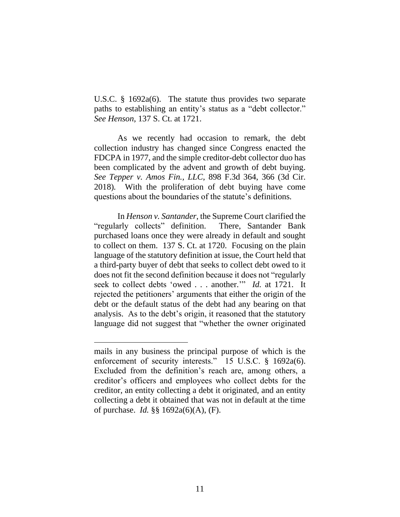U.S.C. § 1692a(6). The statute thus provides two separate paths to establishing an entity's status as a "debt collector." *See Henson*, 137 S. Ct. at 1721.

As we recently had occasion to remark, the debt collection industry has changed since Congress enacted the FDCPA in 1977, and the simple creditor-debt collector duo has been complicated by the advent and growth of debt buying. *See Tepper v. Amos Fin., LLC*, 898 F.3d 364, 366 (3d Cir. 2018)*.* With the proliferation of debt buying have come questions about the boundaries of the statute's definitions.

In *Henson v. Santander*, the Supreme Court clarified the "regularly collects" definition. There, Santander Bank purchased loans once they were already in default and sought to collect on them. 137 S. Ct. at 1720. Focusing on the plain language of the statutory definition at issue, the Court held that a third-party buyer of debt that seeks to collect debt owed to it does not fit the second definition because it does not "regularly seek to collect debts 'owed . . . another.'" *Id.* at 1721. It rejected the petitioners' arguments that either the origin of the debt or the default status of the debt had any bearing on that analysis. As to the debt's origin, it reasoned that the statutory language did not suggest that "whether the owner originated

mails in any business the principal purpose of which is the enforcement of security interests." 15 U.S.C. § 1692a(6). Excluded from the definition's reach are, among others, a creditor's officers and employees who collect debts for the creditor, an entity collecting a debt it originated, and an entity collecting a debt it obtained that was not in default at the time of purchase. *Id.* §§ 1692a(6)(A), (F).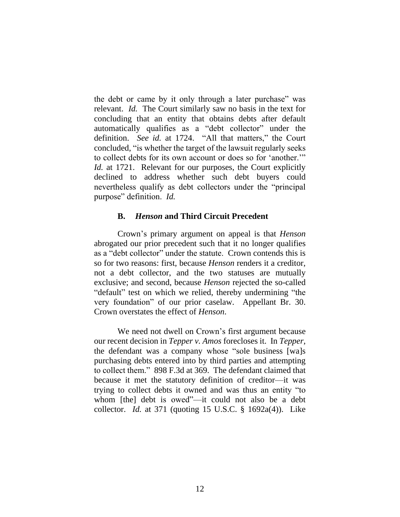the debt or came by it only through a later purchase" was relevant. *Id.* The Court similarly saw no basis in the text for concluding that an entity that obtains debts after default automatically qualifies as a "debt collector" under the definition. *See id.* at 1724. "All that matters," the Court concluded, "is whether the target of the lawsuit regularly seeks to collect debts for its own account or does so for 'another.'" *Id.* at 1721. Relevant for our purposes, the Court explicitly declined to address whether such debt buyers could nevertheless qualify as debt collectors under the "principal purpose" definition. *Id.*

### **B.** *Henson* **and Third Circuit Precedent**

Crown's primary argument on appeal is that *Henson*  abrogated our prior precedent such that it no longer qualifies as a "debt collector" under the statute.Crown contends this is so for two reasons: first, because *Henson* renders it a creditor, not a debt collector, and the two statuses are mutually exclusive; and second, because *Henson* rejected the so-called "default" test on which we relied, thereby undermining "the very foundation" of our prior caselaw. Appellant Br. 30. Crown overstates the effect of *Henson*.

We need not dwell on Crown's first argument because our recent decision in *Tepper v. Amos* forecloses it. In *Tepper*, the defendant was a company whose "sole business [wa]s purchasing debts entered into by third parties and attempting to collect them." 898 F.3d at 369. The defendant claimed that because it met the statutory definition of creditor—it was trying to collect debts it owned and was thus an entity "to whom [the] debt is owed"—it could not also be a debt collector. *Id.* at 371 (quoting 15 U.S.C. § 1692a(4)). Like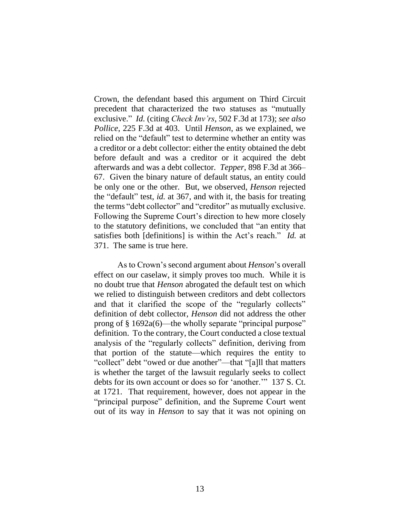Crown, the defendant based this argument on Third Circuit precedent that characterized the two statuses as "mutually exclusive." *Id.* (citing *Check Inv'rs*, 502 F.3d at 173); *see also Pollice*, 225 F.3d at 403. Until *Henson*, as we explained, we relied on the "default" test to determine whether an entity was a creditor or a debt collector: either the entity obtained the debt before default and was a creditor or it acquired the debt afterwards and was a debt collector. *Tepper*, 898 F.3d at 366– 67. Given the binary nature of default status, an entity could be only one or the other. But, we observed, *Henson* rejected the "default" test, *id.* at 367, and with it, the basis for treating the terms "debt collector" and "creditor" as mutually exclusive. Following the Supreme Court's direction to hew more closely to the statutory definitions, we concluded that "an entity that satisfies both [definitions] is within the Act's reach." *Id.* at 371. The same is true here.

As to Crown's second argument about *Henson*'s overall effect on our caselaw, it simply proves too much. While it is no doubt true that *Henson* abrogated the default test on which we relied to distinguish between creditors and debt collectors and that it clarified the scope of the "regularly collects" definition of debt collector, *Henson* did not address the other prong of § 1692a(6)—the wholly separate "principal purpose" definition. To the contrary, the Court conducted a close textual analysis of the "regularly collects" definition, deriving from that portion of the statute—which requires the entity to "collect" debt "owed or due another"—that "[a]ll that matters is whether the target of the lawsuit regularly seeks to collect debts for its own account or does so for 'another.'" 137 S. Ct. at 1721. That requirement, however, does not appear in the "principal purpose" definition, and the Supreme Court went out of its way in *Henson* to say that it was not opining on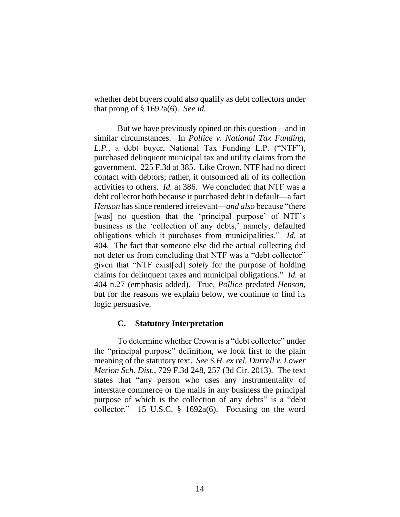whether debt buyers could also qualify as debt collectors under that prong of § 1692a(6). *See id.*

But we have previously opined on this question—and in similar circumstances. In *Pollice v. National Tax Funding, L.P.*, a debt buyer, National Tax Funding L.P. ("NTF"), purchased delinquent municipal tax and utility claims from the government. 225 F.3d at 385. Like Crown, NTF had no direct contact with debtors; rather, it outsourced all of its collection activities to others. *Id.* at 386. We concluded that NTF was a debt collector both because it purchased debt in default—a fact *Henson* has since rendered irrelevant—*and also* because "there [was] no question that the 'principal purpose' of NTF's business is the 'collection of any debts,' namely, defaulted obligations which it purchases from municipalities." *Id.* at 404. The fact that someone else did the actual collecting did not deter us from concluding that NTF was a "debt collector" given that "NTF exist[ed] *solely* for the purpose of holding claims for delinquent taxes and municipal obligations." *Id.* at 404 n.27 (emphasis added). True, *Pollice* predated *Henson*, but for the reasons we explain below, we continue to find its logic persuasive.

### **C. Statutory Interpretation**

To determine whether Crown is a "debt collector" under the "principal purpose" definition, we look first to the plain meaning of the statutory text. *See S.H. ex rel. Durrell v. Lower Merion Sch. Dist.*, 729 F.3d 248, 257 (3d Cir. 2013). The text states that "any person who uses any instrumentality of interstate commerce or the mails in any business the principal purpose of which is the collection of any debts" is a "debt collector." 15 U.S.C. § 1692a(6). Focusing on the word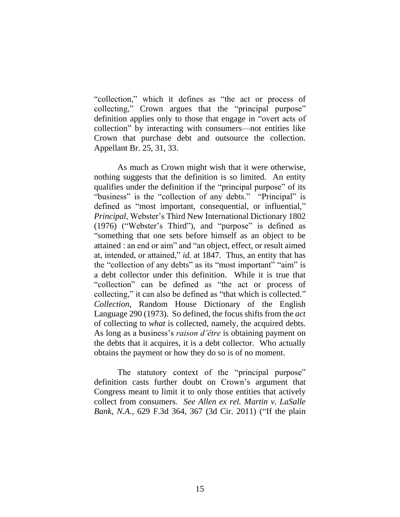"collection," which it defines as "the act or process of collecting," Crown argues that the "principal purpose" definition applies only to those that engage in "overt acts of collection" by interacting with consumers—not entities like Crown that purchase debt and outsource the collection. Appellant Br. 25, 31, 33.

As much as Crown might wish that it were otherwise, nothing suggests that the definition is so limited. An entity qualifies under the definition if the "principal purpose" of its "business" is the "collection of any debts." "Principal" is defined as "most important, consequential, or influential," *Principal*, Webster's Third New International Dictionary 1802 (1976) ("Webster's Third"), and "purpose" is defined as "something that one sets before himself as an object to be attained : an end or aim" and "an object, effect, or result aimed at, intended, or attained," *id.* at 1847. Thus, an entity that has the "collection of any debts" as its "most important" "aim" is a debt collector under this definition. While it is true that "collection" can be defined as "the act or process of collecting," it can also be defined as "that which is collected." *Collection*, Random House Dictionary of the English Language 290 (1973). So defined, the focus shifts from the *act*  of collecting to *what* is collected, namely, the acquired debts. As long as a business's *raison d'être* is obtaining payment on the debts that it acquires, it is a debt collector. Who actually obtains the payment or how they do so is of no moment.

The statutory context of the "principal purpose" definition casts further doubt on Crown's argument that Congress meant to limit it to only those entities that actively collect from consumers. *See Allen ex rel. Martin v. LaSalle Bank, N.A.*, 629 F.3d 364, 367 (3d Cir. 2011) ("If the plain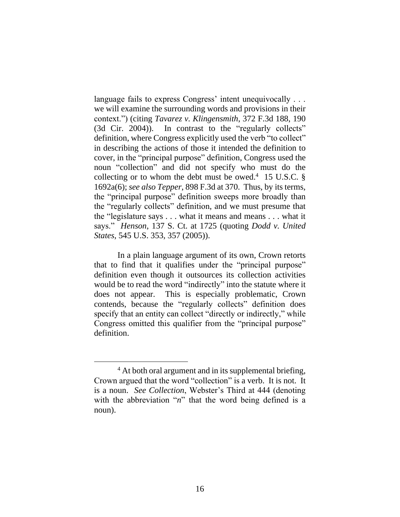language fails to express Congress' intent unequivocally ... we will examine the surrounding words and provisions in their context.") (citing *Tavarez v. Klingensmith*, 372 F.3d 188, 190 (3d Cir. 2004)). In contrast to the "regularly collects" definition, where Congress explicitly used the verb "to collect" in describing the actions of those it intended the definition to cover, in the "principal purpose" definition, Congress used the noun "collection" and did not specify who must do the collecting or to whom the debt must be owed.<sup>4</sup> 15 U.S.C.  $\S$ 1692a(6); *see also Tepper*, 898 F.3d at 370. Thus, by its terms, the "principal purpose" definition sweeps more broadly than the "regularly collects" definition, and we must presume that the "legislature says . . . what it means and means . . . what it says." *Henson*, 137 S. Ct. at 1725 (quoting *Dodd v. United States*, 545 U.S. 353, 357 (2005)).

In a plain language argument of its own, Crown retorts that to find that it qualifies under the "principal purpose" definition even though it outsources its collection activities would be to read the word "indirectly" into the statute where it does not appear.This is especially problematic, Crown contends, because the "regularly collects" definition does specify that an entity can collect "directly or indirectly," while Congress omitted this qualifier from the "principal purpose" definition.

 $\overline{a}$ 

<sup>&</sup>lt;sup>4</sup> At both oral argument and in its supplemental briefing, Crown argued that the word "collection" is a verb. It is not. It is a noun. *See Collection*, Webster's Third at 444 (denoting with the abbreviation "*n*" that the word being defined is a noun).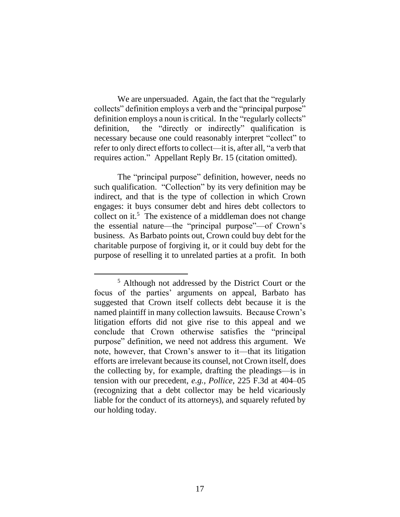We are unpersuaded. Again, the fact that the "regularly collects" definition employs a verb and the "principal purpose" definition employs a noun is critical. In the "regularly collects" definition, the "directly or indirectly" qualification is necessary because one could reasonably interpret "collect" to refer to only direct efforts to collect—it is, after all, "a verb that requires action." Appellant Reply Br. 15 (citation omitted).

The "principal purpose" definition, however, needs no such qualification. "Collection" by its very definition may be indirect, and that is the type of collection in which Crown engages: it buys consumer debt and hires debt collectors to collect on it.<sup>5</sup> The existence of a middleman does not change the essential nature—the "principal purpose"—of Crown's business. As Barbato points out, Crown could buy debt for the charitable purpose of forgiving it, or it could buy debt for the purpose of reselling it to unrelated parties at a profit.In both

<sup>5</sup> Although not addressed by the District Court or the focus of the parties' arguments on appeal, Barbato has suggested that Crown itself collects debt because it is the named plaintiff in many collection lawsuits. Because Crown's litigation efforts did not give rise to this appeal and we conclude that Crown otherwise satisfies the "principal purpose" definition, we need not address this argument. We note, however, that Crown's answer to it—that its litigation efforts are irrelevant because its counsel, not Crown itself, does the collecting by, for example, drafting the pleadings—is in tension with our precedent, *e.g., Pollice*, 225 F.3d at 404–05 (recognizing that a debt collector may be held vicariously liable for the conduct of its attorneys), and squarely refuted by our holding today.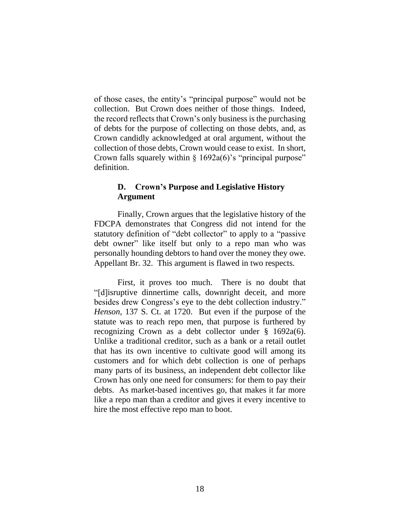of those cases, the entity's "principal purpose" would not be collection. But Crown does neither of those things. Indeed, the record reflects that Crown's only business is the purchasing of debts for the purpose of collecting on those debts, and, as Crown candidly acknowledged at oral argument, without the collection of those debts, Crown would cease to exist.In short, Crown falls squarely within  $\S$  1692a(6)'s "principal purpose" definition.

## **D. Crown's Purpose and Legislative History Argument**

Finally, Crown argues that the legislative history of the FDCPA demonstrates that Congress did not intend for the statutory definition of "debt collector" to apply to a "passive debt owner" like itself but only to a repo man who was personally hounding debtors to hand over the money they owe. Appellant Br. 32.This argument is flawed in two respects.

First, it proves too much. There is no doubt that "[d]isruptive dinnertime calls, downright deceit, and more besides drew Congress's eye to the debt collection industry." *Henson*, 137 S. Ct. at 1720. But even if the purpose of the statute was to reach repo men, that purpose is furthered by recognizing Crown as a debt collector under § 1692a(6). Unlike a traditional creditor, such as a bank or a retail outlet that has its own incentive to cultivate good will among its customers and for which debt collection is one of perhaps many parts of its business, an independent debt collector like Crown has only one need for consumers: for them to pay their debts. As market-based incentives go, that makes it far more like a repo man than a creditor and gives it every incentive to hire the most effective repo man to boot.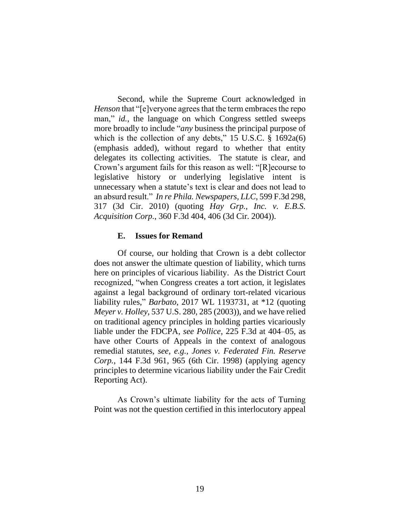Second, while the Supreme Court acknowledged in *Henson* that "[e]veryone agrees that the term embraces the repo man," *id.*, the language on which Congress settled sweeps more broadly to include "*any* business the principal purpose of which is the collection of any debts," 15 U.S.C.  $\S$  1692a(6) (emphasis added), without regard to whether that entity delegates its collecting activities. The statute is clear, and Crown's argument fails for this reason as well: "[R]ecourse to legislative history or underlying legislative intent is unnecessary when a statute's text is clear and does not lead to an absurd result." *In re Phila. Newspapers, LLC*, 599 F.3d 298, 317 (3d Cir. 2010) (quoting *Hay Grp., Inc. v. E.B.S. Acquisition Corp.*, 360 F.3d 404, 406 (3d Cir. 2004)).

### **E. Issues for Remand**

Of course, our holding that Crown is a debt collector does not answer the ultimate question of liability, which turns here on principles of vicarious liability. As the District Court recognized, "when Congress creates a tort action, it legislates against a legal background of ordinary tort-related vicarious liability rules," *Barbato*, 2017 WL 1193731, at \*12 (quoting *Meyer v. Holley*, 537 U.S. 280, 285 (2003)), and we have relied on traditional agency principles in holding parties vicariously liable under the FDCPA, *see Pollice*, 225 F.3d at 404–05, as have other Courts of Appeals in the context of analogous remedial statutes, *see, e.g.*, *Jones v. Federated Fin. Reserve Corp.*, 144 F.3d 961, 965 (6th Cir. 1998) (applying agency principles to determine vicarious liability under the Fair Credit Reporting Act).

As Crown's ultimate liability for the acts of Turning Point was not the question certified in this interlocutory appeal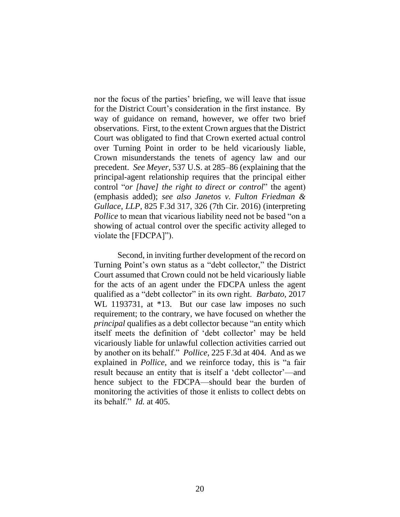nor the focus of the parties' briefing, we will leave that issue for the District Court's consideration in the first instance. By way of guidance on remand, however, we offer two brief observations. First, to the extent Crown argues that the District Court was obligated to find that Crown exerted actual control over Turning Point in order to be held vicariously liable, Crown misunderstands the tenets of agency law and our precedent. *See Meyer*, 537 U.S. at 285–86 (explaining that the principal-agent relationship requires that the principal either control "*or [have] the right to direct or control*" the agent) (emphasis added); *see also Janetos v. Fulton Friedman & Gullace, LLP*, 825 F.3d 317, 326 (7th Cir. 2016) (interpreting *Pollice* to mean that vicarious liability need not be based "on a showing of actual control over the specific activity alleged to violate the [FDCPA]").

Second, in inviting further development of the record on Turning Point's own status as a "debt collector," the District Court assumed that Crown could not be held vicariously liable for the acts of an agent under the FDCPA unless the agent qualified as a "debt collector" in its own right. *Barbato*, 2017 WL 1193731, at \*13. But our case law imposes no such requirement; to the contrary, we have focused on whether the *principal* qualifies as a debt collector because "an entity which itself meets the definition of 'debt collector' may be held vicariously liable for unlawful collection activities carried out by another on its behalf." *Pollice*, 225 F.3d at 404. And as we explained in *Pollice*, and we reinforce today, this is "a fair result because an entity that is itself a 'debt collector'—and hence subject to the FDCPA—should bear the burden of monitoring the activities of those it enlists to collect debts on its behalf." *Id.* at 405.